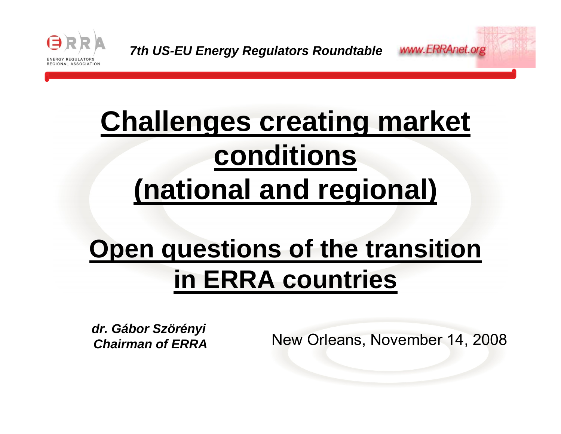

# **Challenges creating market conditions (national and regional)**

# **Open questions of the transition in ERRA countries**

*dr. Gábor Szörényi Chairman of ERRA*

New Orleans, November 14, 2008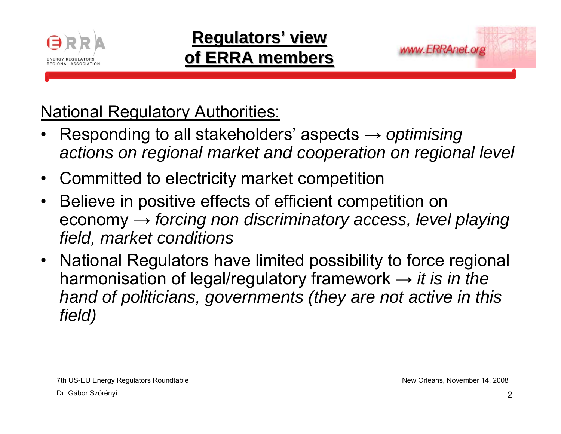

### **Regulators Regulators' view of ERRA members of ERRA members**



**National Regulatory Authorities:** 

- • Responding to all stakeholders' aspects <sup>→</sup> *optimising actions on regional market and cooperation on regional level*
- $\bullet$ Committed to electricity market competition
- • Believe in positive effects of efficient competition on economy <sup>→</sup> *forcing non discriminatory access, level playing field, market conditions*
- • National Regulators have limited possibility to force regional harmonisation of legal/regulatory framework <sup>→</sup> *it is in the hand of politicians, governments (they are not active in this field)*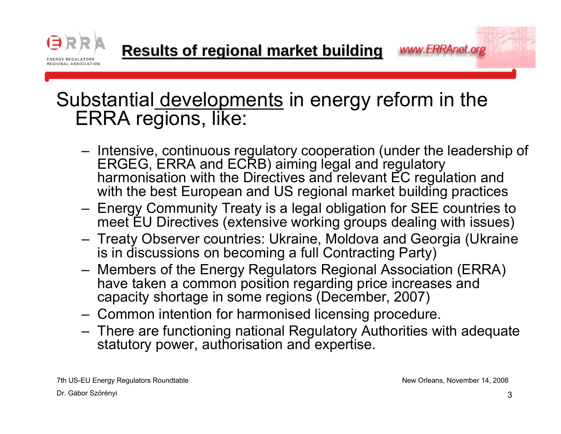

**Results of regional market building Results of regional market building**

### Substantial developments in energy reform in the ERRA regions, like:

- Intensive, continuous regulatory cooperation (under the leadership of ERGEG, ERRA and ECRB) aiming legal and regulatory harmonisation with the Directives and relevant EC regulation and with the best European and US regional market building practices
- Energy Community Treaty is a legal obligation for SEE countries to meet EU Directives (extensive working groups dealing with issues)
- Treaty Observer countries: Ukraine, Moldova and Georgia (Ukraine is in discussions on becoming a full Contracting Party)
- Members of the Energy Regulators Regional Association (ERRA) have taken a common position regarding price increases and capacity shortage in some regions (December, 2007)
- Common intention for harmonised licensing procedure.
- There are functioning national Regulatory Authorities with adequate statutory power, authorisation and expertise.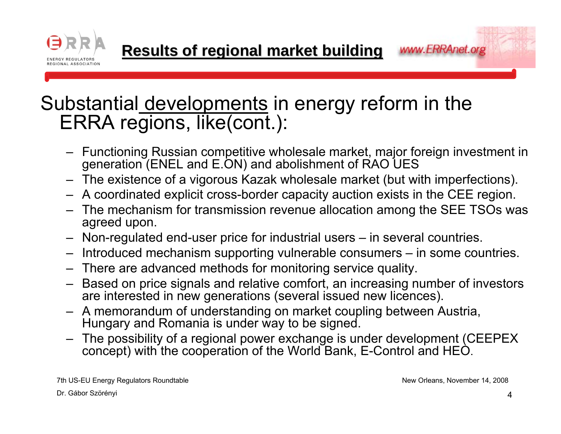

### Substantial developments in energy reform in the ERRA regions, like(cont.):

- Functioning Russian competitive wholesale market, major foreign investment in generation (ENEL and E.ON) and abolishment of RAO UES
- The existence of a vigorous Kazak wholesale market (but with imperfections).
- A coordinated explicit cross-border capacity auction exists in the CEE region.
- The mechanism for transmission revenue allocation among the SEE TSOs was agreed upon.
- Non-regulated end-user price for industrial users in several countries.
- Introduced mechanism supporting vulnerable consumers in some countries.
- There are advanced methods for monitoring service quality.
- Based on price signals and relative comfort, an increasing number of investors are interested in new generations (several issued new licences).
- A memorandum of understanding on market coupling between Austria, Hungary and Romania is under way to be signed.
- The possibility of a regional power exchange is under development (CEEPEX concept) with the cooperation of the World Bank, E-Control and HEO.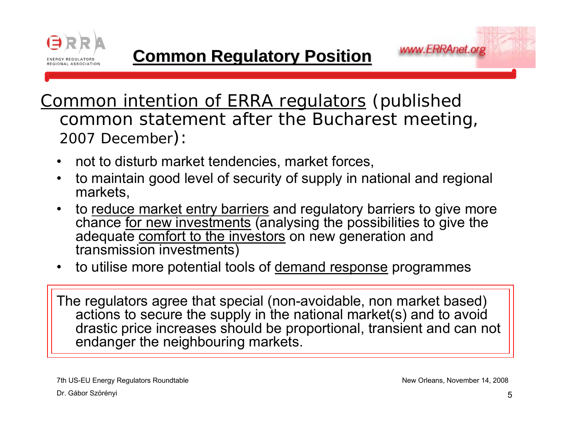



- •not to disturb market tendencies, market forces,
- • to maintain good level of security of supply in national and regional markets,
- •to reduce market entry barriers and regulatory barriers to give more chance <u>for new investments</u> (analysing the possibilities to give the adequate comfort to the investors on new generation and transmission investments)
- •to utilise more potential tools of demand response programmes

The regulators agree that special (non-avoidable, non market based) actions to secure the supply in the national market(s) and to avoid drastic price increases should be proportional, transient and can not endanger the neighbouring markets.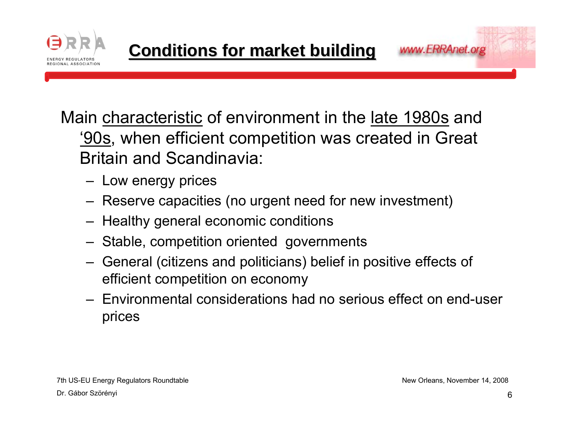



- Low energy prices
- Reserve capacities (no urgent need for new investment)
- Healthy general economic conditions
- Stable, competition oriented governments
- General (citizens and politicians) belief in positive effects of efficient competition on economy
- Environmental considerations had no serious effect on end-user prices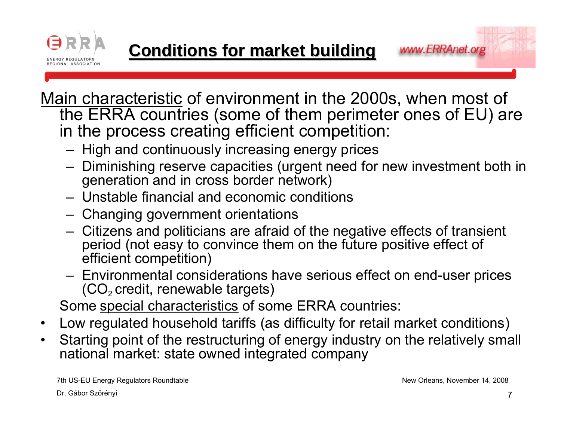

<u>Main characteristic</u> of environment in the 2000s, when most of the ERRA countries (some of them perimeter ones of EU) are in the process creating efficient competition:

- –High and continuously increasing energy prices
- – Diminishing reserve capacities (urgent need for new investment both in generation and in cross border network)
- Unstable financial and economic conditions
- –Changing government orientations
- – Citizens and politicians are afraid of the negative effects of transient period (not easy to convince them on the future positive effect of efficient competition)
- – Environmental considerations have serious effect on end-user prices (CO $_{\scriptscriptstyle{2}}$ credit, renewable targets)

Some special characteristics of some ERRA countries:

- $\bullet$ Low regulated household tariffs (as difficulty for retail market conditions)
- $\bullet$  Starting point of the restructuring of energy industry on the relatively small national market: state owned integrated company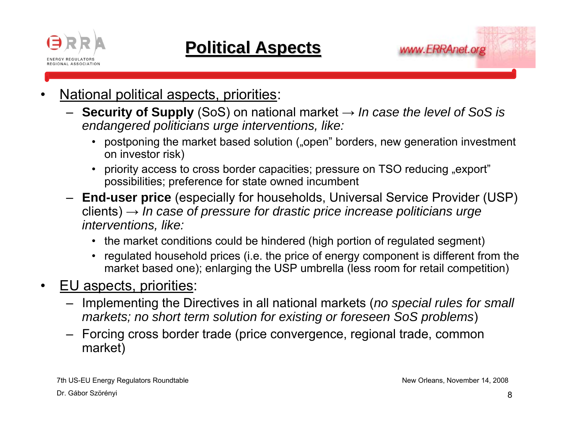



- • National political aspects, priorities:
	- **Security of Supply** (SoS) on national market <sup>→</sup> *In case the level of SoS is endangered politicians urge interventions, like:* 
		- postponing the market based solution ("open" borders, new generation investment on investor risk)
		- priority access to cross border capacities; pressure on TSO reducing "export"  $\,$ possibilities; preference for state owned incumbent
	- **End-user price** (especially for households, Universal Service Provider (USP) clients) <sup>→</sup> *In case of pressure for drastic price increase politicians urge interventions, like:* 
		- the market conditions could be hindered (high portion of regulated segment)
		- regulated household prices (i.e. the price of energy component is different from the market based one); enlarging the USP umbrella (less room for retail competition)
- • EU aspects, priorities:
	- Implementing the Directives in all national markets (*no special rules for small markets; no short term solution for existing or foreseen SoS problems*)
	- Forcing cross border trade (price convergence, regional trade, common market)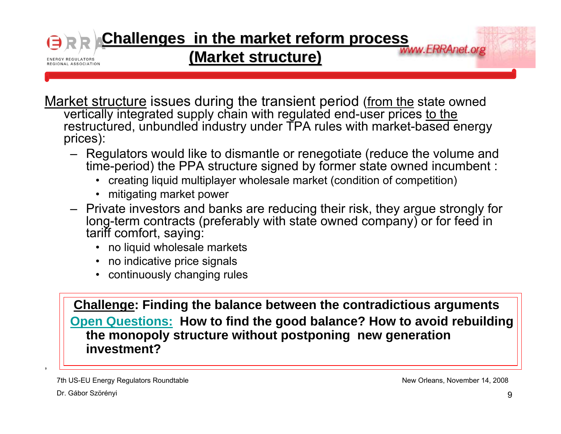# **Challenges in the market reform process** *market* reform **process**

#### **(Market structure Market structure)**

<u>Market structure</u> issues during the transient period (<u>from the</u> state owned vertically integrated supply chain with regulated end-user prices to the restructured, unbundled industry under TPA rules with market-based energy prices):

- Regulators would like to dismantle or renegotiate (reduce the volume and time-period) the PPA structure signed by former state owned incumbent :
	- creating liquid multiplayer wholesale market (condition of competition)
	- mitigating market power
- Private investors and banks are reducing their risk, they argue strongly for long-term contracts (preferably with state owned company) or for feed in tariff comfort, saying:
	- no liquid wholesale markets
	- no indicative price signals
	- continuously changing rules

**Challenge: Finding the balance between the contradictious arguments Open Questions: How to find the good balance? How to avoid rebuilding the monopoly structure without postponing new generation investment?**

7th US-EU Energy Regulators Roundtable Dr. Gábor Szörényi

,

**ENERGY REGULATORS** REGIONAL ASSOCIATION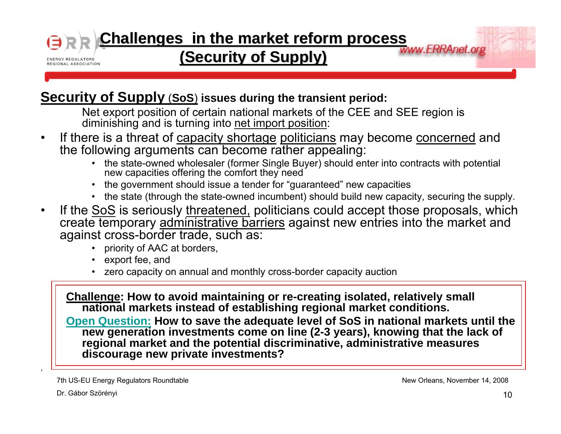#### **Challenges in the market reform process** *market reform* **(Security of Supply) (Security of Supply) ENERGY REGULATORS** REGIONAL ASSOCIATION

#### **Security of Supply** (**SoS**) **issues during the transient period:**

Net export position of certain national markets of the CEE and SEE region is diminishing and is turning into net import position:

- •If there is a threat of capacity shortage politicians may become concerned and the following arguments can become rather appealing:
	- the state-owned wholesaler (former Single Buyer) should enter into contracts with potential new capacities offering the comfort they need
	- the government should issue a tender for "guaranteed" new capacities
	- the state (through the state-owned incumbent) should build new capacity, securing the supply.
- •If the SoS is seriously threatened, politicians could accept those proposals, which create temporary administrative barriers against new entries into the market and against cross-border trade, such as:
	- priority of AAC at borders,
	- export fee, and
	- zero capacity on annual and monthly cross-border capacity auction

**Challenge: How to avoid maintaining or re-creating isolated, relatively small national markets instead of establishing regional market conditions.** 

**Open Question: How to save the adequate level of SoS in national markets until the new generation investments come on line (2-3 years), knowing that the lack of regional market and the potential discriminative, administrative measures discourage new private investments?**

7th US-EU Energy Regulators Roundtable

New Orleans, November 14, 2008

Dr. Gábor Szörényi

,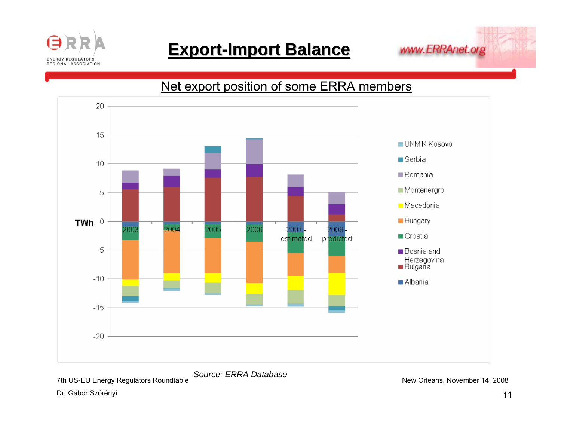

### **Export-Import Balance**



Net export position of some ERRA members



*Source: ERRA Database*

7th US-EU Energy Regulators Roundtable

Dr. Gábor Szörényi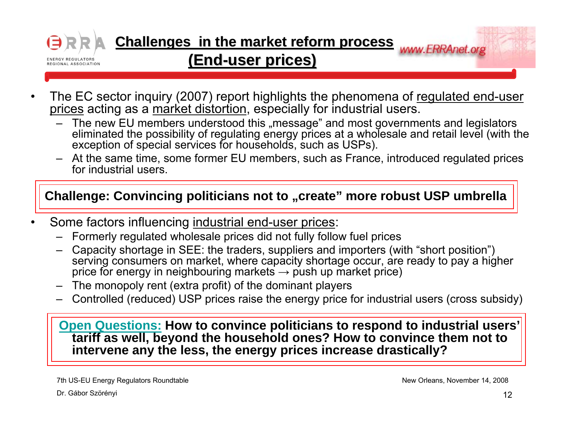

**Challenges in the market reform process <b>www.ERRAnet.org** 

#### **(End-user prices) user prices)**

- •The EC sector inquiry (2007) report highlights the phenomena of regulated end-user prices acting as a market distortion, especially for industrial users.
	- The new EU members understood this "message" and most governments and legislators eliminated the possibility of regulating energy prices at a wholesale and retail level (with the exception of special services for households, such as USPs).
	- At the same time, some former EU members, such as France, introduced regulated prices for industrial users.

#### **Challenge: Convincing politicians not to "create" more robust USP umbrella**

- • Some factors influencing industrial end-user prices:
	- –Formerly regulated wholesale prices did not fully follow fuel prices
	- – Capacity shortage in SEE: the traders, suppliers and importers (with "short position") serving consumers on market, where capacity shortage occur, are ready to pay a higher price for energy in neighbouring markets  $\rightarrow$  push up market price)
	- –The monopoly rent (extra profit) of the dominant players
	- –Controlled (reduced) USP prices raise the energy price for industrial users (cross subsidy)

#### **Open Questions: How to convince politicians to respond to industrial users' tariff as well, beyond the household ones? How to convince them not to intervene any the less, the energy prices increase drastically?**

7th US-EU Energy Regulators Roundtable

Dr. Gábor Szörényi